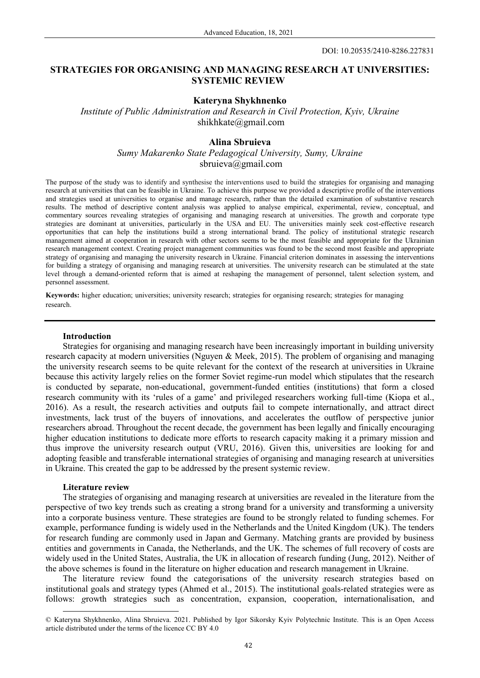# **STRATEGIES FOR ORGANISING AND MANAGING RESEARCH AT UNIVERSITIES: SYSTEMIC REVIEW**

## **Kateryna Shykhnenko**

*Institute of Public Administration and Research in Civil Protection, Kyiv, Ukraine*  shikhkate@gmail.com

## **Alina Sbruieva**

*Sumy Makarenko State Pedagogical University, Sumy, Ukraine*  [sbruieva@gmail.com](mailto:sbruieva@gmail.com)

The purpose of the study was to identify and synthesise the interventions used to build the strategies for organising and managing research at universities that can be feasible in Ukraine. To achieve this purpose we provided a descriptive profile of the interventions and strategies used at universities to organise and manage research, rather than the detailed examination of substantive research results. The method of descriptive content analysis was applied to analyse empirical, experimental, review, conceptual, and commentary sources revealing strategies of organising and managing research at universities. The growth and corporate type strategies are dominant at universities, particularly in the USA and EU. The universities mainly seek cost-effective research opportunities that can help the institutions build a strong international brand. The policy of institutional strategic research management aimed at cooperation in research with other sectors seems to be the most feasible and appropriate for the Ukrainian research management context. Creating project management communities was found to be the second most feasible and appropriate strategy of organising and managing the university research in Ukraine. Financial criterion dominates in assessing the interventions for building a strategy of organising and managing research at universities. The university research can be stimulated at the state level through a demand-oriented reform that is aimed at reshaping the management of personnel, talent selection system, and personnel assessment.

**Keywords:** higher education; universities; university research; strategies for organising research; strategies for managing research.

## **Introduction**

Strategies for organising and managing research have been increasingly important in building university research capacity at modern universities (Nguyen & Meek, 2015). The problem of organising and managing the university research seems to be quite relevant for the context of the research at universities in Ukraine because this activity largely relies on the former Soviet regime-run model which stipulates that the research is conducted by separate, non-educational, government-funded entities (institutions) that form a closed research community with its 'rules of a game' and privileged researchers working full-time (Kiopa et al., 2016). As a result, the research activities and outputs fail to compete internationally, and attract direct investments, lack trust of the buyers of innovations, and accelerates the outflow of perspective junior researchers abroad. Throughout the recent decade, the government has been legally and finically encouraging higher education institutions to dedicate more efforts to research capacity making it a primary mission and thus improve the university research output (VRU, 2016). Given this, universities are looking for and adopting feasible and transferable international strategies of organising and managing research at universities in Ukraine. This created the gap to be addressed by the present systemic review.

## **Literature review**

 $\overline{a}$ 

The strategies of organising and managing research at universities are revealed in the literature from the perspective of two key trends such as creating a strong brand for a university and transforming a university into a corporate business venture. These strategies are found to be strongly related to funding schemes. For example, performance funding is widely used in the Netherlands and the United Kingdom (UK). The tenders for research funding are commonly used in Japan and Germany. Matching grants are provided by business entities and governments in Canada, the Netherlands, and the UK. The schemes of full recovery of costs are widely used in the United States, Australia, the UK in allocation of research funding (Jung, 2012). Neither of the above schemes is found in the literature on higher education and research management in Ukraine.

The literature review found the categorisations of the university research strategies based on institutional goals and strategy types (Ahmed et al., 2015). The institutional goals-related strategies were as follows: *g*rowth strategies such as concentration, expansion, cooperation, internationalisation, and

<sup>©</sup> Kateryna Shykhnenko, Alina Sbruieva. 2021. Published by Igor Sikorsky Kyiv Polytechnic Institute. This is an Open Access article distributed under the terms of the licence CC BY 4.0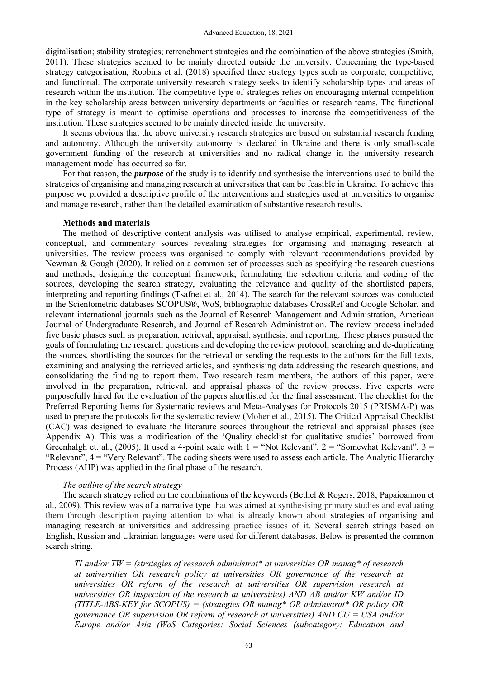digitalisation; stability strategies; retrenchment strategies and the combination of the above strategies (Smith, 2011). These strategies seemed to be mainly directed outside the university. Concerning the type-based strategy categorisation, Robbins et al. (2018) specified three strategy types such as corporate, competitive, and functional. The corporate university research strategy seeks to identify scholarship types and areas of research within the institution. The competitive type of strategies relies on encouraging internal competition in the key scholarship areas between university departments or faculties or research teams. The functional type of strategy is meant to optimise operations and processes to increase the competitiveness of the institution. These strategies seemed to be mainly directed inside the university.

It seems obvious that the above university research strategies are based on substantial research funding and autonomy. Although the university autonomy is declared in Ukraine and there is only small-scale government funding of the research at universities and no radical change in the university research management model has occurred so far.

For that reason, the *purpose* of the study is to identify and synthesise the interventions used to build the strategies of organising and managing research at universities that can be feasible in Ukraine. To achieve this purpose we provided a descriptive profile of the interventions and strategies used at universities to organise and manage research, rather than the detailed examination of substantive research results.

## **Methods and materials**

The method of descriptive content analysis was utilised to analyse empirical, experimental, review, conceptual, and commentary sources revealing strategies for organising and managing research at universities. The review process was organised to comply with relevant recommendations provided by Newman & Gough (2020). It relied on a common set of processes such as specifying the research questions and methods, designing the conceptual framework, formulating the selection criteria and coding of the sources, developing the search strategy, evaluating the relevance and quality of the shortlisted papers, interpreting and reporting findings (Tsafnet et al., 2014). The search for the relevant sources was conducted in the Scientometric databases SCOPUS®, WoS, bibliographic databases CrossRef and Google Scholar, and relevant international journals such as the Journal of Research Management and Administration, American Journal of Undergraduate Research, and Journal of Research Administration. The review process included five basic phases such as preparation, retrieval, appraisal, synthesis, and reporting. These phases pursued the goals of formulating the research questions and developing the review protocol, searching and de-duplicating the sources, shortlisting the sources for the retrieval or sending the requests to the authors for the full texts, examining and analysing the retrieved articles, and synthesising data addressing the research questions, and consolidating the finding to report them. Two research team members, the authors of this paper, were involved in the preparation, retrieval, and appraisal phases of the review process. Five experts were purposefully hired for the evaluation of the papers shortlisted for the final assessment. The checklist for the Preferred Reporting Items for Systematic reviews and Meta-Analyses for Protocols 2015 (PRISMA-P) was used to prepare the protocols for the systematic review (Moher et al., 2015). The Critical Appraisal Checklist (CAC) was designed to evaluate the literature sources throughout the retrieval and appraisal phases (see Appendix A). This was a modification of the 'Quality checklist for qualitative studies' borrowed from Greenhalgh et. al., (2005). It used a 4-point scale with  $1 =$  "Not Relevant", 2 = "Somewhat Relevant", 3 = "Relevant", 4 = "Very Relevant". The coding sheets were used to assess each article. The Analytic Hierarchy Process (AHP) was applied in the final phase of the research.

## *The outline of the search strategy*

The search strategy relied on the combinations of the keywords (Bethel & Rogers, 2018; Papaioannou et al., 2009). This review was of a narrative type that was aimed at synthesising primary studies and evaluating them through description paying attention to what is already known about strategies of organising and managing research at universities and addressing practice issues of it. Several search strings based on English, Russian and Ukrainian languages were used for different databases. Below is presented the common search string.

*TI and/or TW = (strategies of research administrat\* at universities OR manag\* of research at universities OR research policy at universities OR governance of the research at universities OR reform of the research at universities OR supervision research at universities OR inspection of the research at universities) AND AB and/or KW and/or ID (TITLE-ABS-KEY for SCOPUS) = (strategies OR manag\* OR administrat\* OR policy OR governance OR supervision OR reform of research at universities) AND CU = USA and/or Europe and/or Asia (WoS Categories: Social Sciences (subcategory: Education and*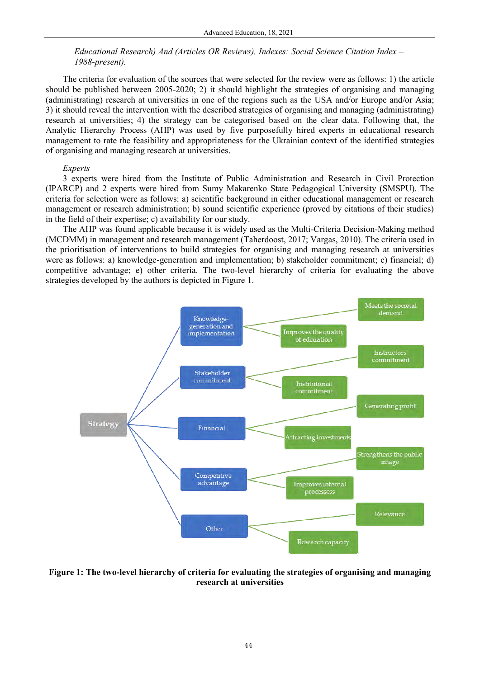# *Educational Research) And (Articles OR Reviews), Indexes: Social Science Citation Index – 1988-present).*

The criteria for evaluation of the sources that were selected for the review were as follows: 1) the article should be published between 2005-2020; 2) it should highlight the strategies of organising and managing (administrating) research at universities in one of the regions such as the USA and/or Europe and/or Asia; 3) it should reveal the intervention with the described strategies of organising and managing (administrating) research at universities; 4) the strategy can be categorised based on the clear data. Following that, the Analytic Hierarchy Process (AHP) was used by five purposefully hired experts in educational research management to rate the feasibility and appropriateness for the Ukrainian context of the identified strategies of organising and managing research at universities.

## *Experts*

3 experts were hired from the Institute of Public Administration and Research in Civil Protection (IPARCP) and 2 experts were hired from Sumy Makarenko State Pedagogical University (SMSPU). The criteria for selection were as follows: a) scientific background in either educational management or research management or research administration; b) sound scientific experience (proved by citations of their studies) in the field of their expertise; c) availability for our study.

The AHP was found applicable because it is widely used as the Multi-Criteria Decision-Making method (MCDMM) in management and research management (Taherdoost, 2017; Vargas, 2010). The criteria used in the prioritisation of interventions to build strategies for organising and managing research at universities were as follows: a) knowledge-generation and implementation; b) stakeholder commitment; c) financial; d) competitive advantage; e) other criteria. The two-level hierarchy of criteria for evaluating the above strategies developed by the authors is depicted in Figure 1.



**Figure 1: The two-level hierarchy of criteria for evaluating the strategies of organising and managing research at universities**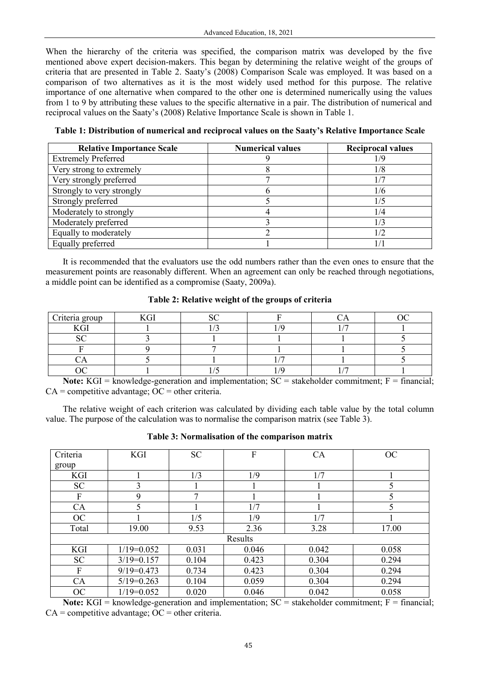When the hierarchy of the criteria was specified, the comparison matrix was developed by the five mentioned above expert decision-makers. This began by determining the relative weight of the groups of criteria that are presented in Table 2. Saaty's (2008) Comparison Scale was employed. It was based on a comparison of two alternatives as it is the most widely used method for this purpose. The relative importance of one alternative when compared to the other one is determined numerically using the values from 1 to 9 by attributing these values to the specific alternative in a pair. The distribution of numerical and reciprocal values on the Saaty's (2008) Relative Importance Scale is shown in Table 1.

**Table 1: Distribution of numerical and reciprocal values on the Saaty's Relative Importance Scale** 

| <b>Relative Importance Scale</b> | <b>Numerical values</b> | <b>Reciprocal values</b> |
|----------------------------------|-------------------------|--------------------------|
| <b>Extremely Preferred</b>       |                         | 1/9                      |
| Very strong to extremely         |                         | 1/8                      |
| Very strongly preferred          |                         |                          |
| Strongly to very strongly        |                         | 1/6                      |
| Strongly preferred               |                         | 1/5                      |
| Moderately to strongly           |                         | 1/4                      |
| Moderately preferred             |                         | 1/3                      |
| Equally to moderately            |                         | 1/2                      |
| Equally preferred                |                         | 17                       |

It is recommended that the evaluators use the odd numbers rather than the even ones to ensure that the measurement points are reasonably different. When an agreement can only be reached through negotiations, a middle point can be identified as a compromise (Saaty, 2009a).

**Table 2: Relative weight of the groups of criteria**

| Criteria group | $L\cap T$ |  |  |
|----------------|-----------|--|--|
| $L\cap T$      |           |  |  |
| G              |           |  |  |
|                |           |  |  |
|                |           |  |  |
|                |           |  |  |

**Note:** KGI = knowledge-generation and implementation;  $SC =$  stakeholder commitment;  $F =$  financial;  $CA =$  competitive advantage;  $OC =$  other criteria.

The relative weight of each criterion was calculated by dividing each table value by the total column value. The purpose of the calculation was to normalise the comparison matrix (see Table 3).

| Criteria  | <b>KGI</b>   | <b>SC</b>    | F     | CA    | <b>OC</b> |  |
|-----------|--------------|--------------|-------|-------|-----------|--|
| group     |              |              |       |       |           |  |
| KGI       |              | 1/3          | 1/9   | 1/7   |           |  |
| <b>SC</b> | 3            |              |       |       | 5         |  |
| F         | 9            | $\mathbf{r}$ |       |       |           |  |
| CA        | 5            |              | 1/7   |       | 5         |  |
| OC        |              | 1/5          | 1/9   | 1/7   |           |  |
| Total     | 19.00        | 9.53         | 2.36  | 3.28  | 17.00     |  |
| Results   |              |              |       |       |           |  |
| KGI       | $1/19=0.052$ | 0.031        | 0.046 | 0.042 | 0.058     |  |
| <b>SC</b> | $3/19=0.157$ | 0.104        | 0.423 | 0.304 | 0.294     |  |
| F         | $9/19=0.473$ | 0.734        | 0.423 | 0.304 | 0.294     |  |
| CA        | $5/19=0.263$ | 0.104        | 0.059 | 0.304 | 0.294     |  |
| OC        | $1/19=0.052$ | 0.020        | 0.046 | 0.042 | 0.058     |  |

**Table 3: Normalisation of the comparison matrix** 

**Note:** KGI = knowledge-generation and implementation;  $SC =$  stakeholder commitment;  $F =$  financial;  $CA =$  competitive advantage;  $OC =$  other criteria.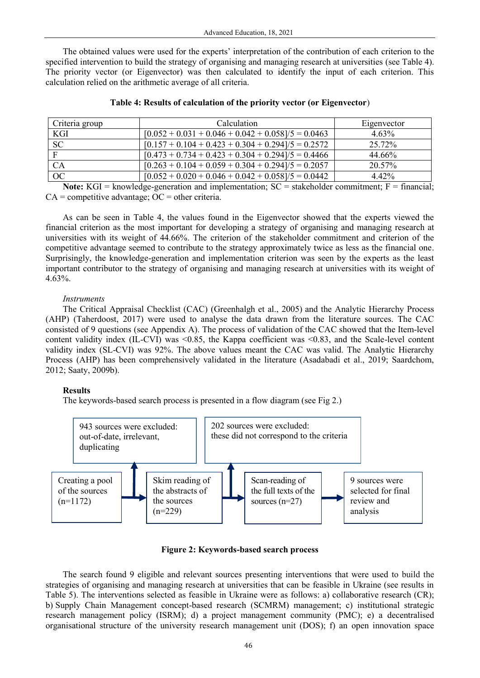The obtained values were used for the experts' interpretation of the contribution of each criterion to the specified intervention to build the strategy of organising and managing research at universities (see Table 4). The priority vector (or Eigenvector) was then calculated to identify the input of each criterion. This calculation relied on the arithmetic average of all criteria.

| Criteria group | <b>Calculation</b>                                   | Eigenvector |
|----------------|------------------------------------------------------|-------------|
| KGI.           | $[0.052 + 0.031 + 0.046 + 0.042 + 0.058]/5 = 0.0463$ | $4.63\%$    |
| SC             | $[0.157 + 0.104 + 0.423 + 0.304 + 0.294]/5 = 0.2572$ | 25.72%      |
| Е              | $[0.473 + 0.734 + 0.423 + 0.304 + 0.294]/5 = 0.4466$ | 44.66%      |
| CA             | $[0.263 + 0.104 + 0.059 + 0.304 + 0.294]/5 = 0.2057$ | 20.57%      |
| <b>OC</b>      | $[0.052 + 0.020 + 0.046 + 0.042 + 0.058]/5 = 0.0442$ | 442%        |

**Note:** KGI = knowledge-generation and implementation;  $SC =$  stakeholder commitment;  $F =$  financial;  $CA =$  competitive advantage;  $OC =$  other criteria.

As can be seen in Table 4, the values found in the Eigenvector showed that the experts viewed the financial criterion as the most important for developing a strategy of organising and managing research at universities with its weight of 44.66%. The criterion of the stakeholder commitment and criterion of the competitive advantage seemed to contribute to the strategy approximately twice as less as the financial one. Surprisingly, the knowledge-generation and implementation criterion was seen by the experts as the least important contributor to the strategy of organising and managing research at universities with its weight of 4.63%.

# *Instruments*

The Critical Appraisal Checklist (CAC) (Greenhalgh et al., 2005) and the Analytic Hierarchy Process (AHP) (Taherdoost, 2017) were used to analyse the data drawn from the literature sources. The CAC consisted of 9 questions (see Appendix A). The process of validation of the CAC showed that the Item-level content validity index  $(II-CVI)$  was  $\leq 0.85$ , the Kappa coefficient was  $\leq 0.83$ , and the Scale-level content validity index (SL-CVI) was 92%. The above values meant the CAC was valid. The Analytic Hierarchy Process (AHP) has been comprehensively validated in the literature (Asadabadi et al., 2019; Saardchom, 2012; Saaty, 2009b).

# **Results**

The keywords-based search process is presented in a flow diagram (see Fig 2.)



**Figure 2: Keywords-based search process** 

The search found 9 eligible and relevant sources presenting interventions that were used to build the strategies of organising and managing research at universities that can be feasible in Ukraine (see results in Table 5). The interventions selected as feasible in Ukraine were as follows: a) collaborative research (CR); b) Supply Chain Management concept-based research (SCMRM) management; c) institutional strategic research management policy (ISRM); d) a project management community (PMC); e) a decentralised organisational structure of the university research management unit (DOS); f) an open innovation space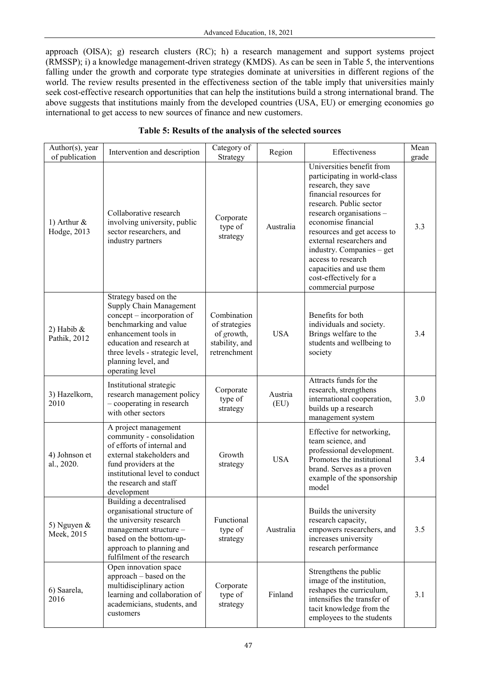approach (OISA); g) research clusters (RC); h) a research management and support systems project (RMSSP); i) a knowledge management-driven strategy (KMDS). As can be seen in Table 5, the interventions falling under the growth and corporate type strategies dominate at universities in different regions of the world. The review results presented in the effectiveness section of the table imply that universities mainly seek cost-effective research opportunities that can help the institutions build a strong international brand. The above suggests that institutions mainly from the developed countries (USA, EU) or emerging economies go international to get access to new sources of finance and new customers.

# **Table 5: Results of the analysis of the selected sources**

| Author(s), year<br>of publication | Intervention and description                                                                                                                                                                                                               | Category of<br>Strategy                                                      | Region          | Effectiveness                                                                                                                                                                                                                                                                                                                                                                      | Mean<br>grade |
|-----------------------------------|--------------------------------------------------------------------------------------------------------------------------------------------------------------------------------------------------------------------------------------------|------------------------------------------------------------------------------|-----------------|------------------------------------------------------------------------------------------------------------------------------------------------------------------------------------------------------------------------------------------------------------------------------------------------------------------------------------------------------------------------------------|---------------|
| 1) Arthur $\&$<br>Hodge, 2013     | Collaborative research<br>involving university, public<br>sector researchers, and<br>industry partners                                                                                                                                     | Corporate<br>type of<br>strategy                                             | Australia       | Universities benefit from<br>participating in world-class<br>research, they save<br>financial resources for<br>research. Public sector<br>research organisations -<br>economise financial<br>resources and get access to<br>external researchers and<br>industry. Companies – get<br>access to research<br>capacities and use them<br>cost-effectively for a<br>commercial purpose | 3.3           |
| 2) Habib $\&$<br>Pathik, 2012     | Strategy based on the<br>Supply Chain Management<br>concept – incorporation of<br>benchmarking and value<br>enhancement tools in<br>education and research at<br>three levels - strategic level,<br>planning level, and<br>operating level | Combination<br>of strategies<br>of growth,<br>stability, and<br>retrenchment | <b>USA</b>      | Benefits for both<br>individuals and society.<br>Brings welfare to the<br>students and wellbeing to<br>society                                                                                                                                                                                                                                                                     | 3.4           |
| 3) Hazelkorn,<br>2010             | Institutional strategic<br>research management policy<br>- cooperating in research<br>with other sectors                                                                                                                                   | Corporate<br>type of<br>strategy                                             | Austria<br>(EU) | Attracts funds for the<br>research, strengthens<br>international cooperation,<br>builds up a research<br>management system                                                                                                                                                                                                                                                         | 3.0           |
| 4) Johnson et<br>al., 2020.       | A project management<br>community - consolidation<br>of efforts of internal and<br>external stakeholders and<br>fund providers at the<br>institutional level to conduct<br>the research and staff<br>development                           | Growth<br>strategy                                                           | <b>USA</b>      | Effective for networking,<br>team science, and<br>professional development.<br>Promotes the institutional<br>brand. Serves as a proven<br>example of the sponsorship<br>model                                                                                                                                                                                                      | 3.4           |
| 5) Nguyen $\&$<br>Meek, 2015      | Building a decentralised<br>organisational structure of<br>the university research<br>management structure -<br>based on the bottom-up-<br>approach to planning and<br>fulfilment of the research                                          | Functional<br>type of<br>strategy                                            | Australia       | Builds the university<br>research capacity,<br>empowers researchers, and<br>increases university<br>research performance                                                                                                                                                                                                                                                           | 3.5           |
| 6) Saarela,<br>2016               | Open innovation space<br>approach - based on the<br>multidisciplinary action<br>learning and collaboration of<br>academicians, students, and<br>customers                                                                                  | Corporate<br>type of<br>strategy                                             | Finland         | Strengthens the public<br>image of the institution,<br>reshapes the curriculum,<br>intensifies the transfer of<br>tacit knowledge from the<br>employees to the students                                                                                                                                                                                                            | 3.1           |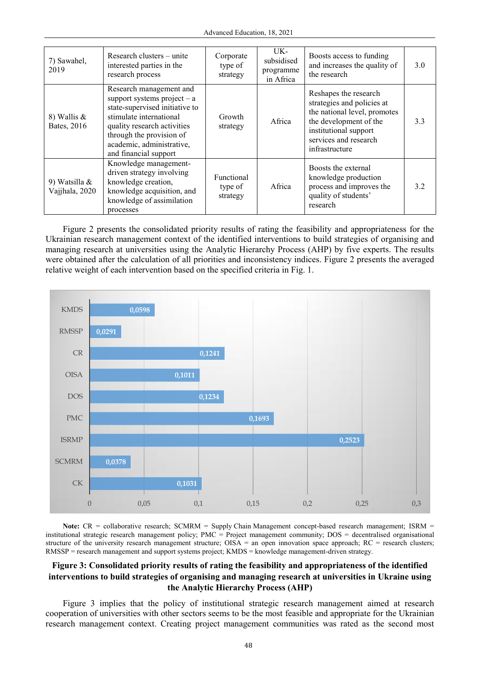| 7) Sawahel,<br>2019                | Research clusters – unite<br>interested parties in the<br>research process                                                                                                                                                             | Corporate<br>type of<br>strategy  | UK-<br>subsidised<br>programme<br>in Africa | Boosts access to funding<br>and increases the quality of<br>the research                                                                                                          | 3.0 |
|------------------------------------|----------------------------------------------------------------------------------------------------------------------------------------------------------------------------------------------------------------------------------------|-----------------------------------|---------------------------------------------|-----------------------------------------------------------------------------------------------------------------------------------------------------------------------------------|-----|
| 8) Wallis $\&$<br>Bates, 2016      | Research management and<br>support systems project $-$ a<br>state-supervised initiative to<br>stimulate international<br>quality research activities<br>through the provision of<br>academic, administrative,<br>and financial support | Growth<br>strategy                | Africa                                      | Reshapes the research<br>strategies and policies at<br>the national level, promotes<br>the development of the<br>institutional support<br>services and research<br>infrastructure | 3.3 |
| 9) Watsilla $\&$<br>Vajjhala, 2020 | Knowledge management-<br>driven strategy involving<br>knowledge creation,<br>knowledge acquisition, and<br>knowledge of assimilation<br>processes                                                                                      | Functional<br>type of<br>strategy | Africa                                      | Boosts the external<br>knowledge production<br>process and improves the<br>quality of students'<br>research                                                                       | 3.2 |

Figure 2 presents the consolidated priority results of rating the feasibility and appropriateness for the Ukrainian research management context of the identified interventions to build strategies of organising and managing research at universities using the Analytic Hierarchy Process (AHP) by five experts. The results were obtained after the calculation of all priorities and inconsistency indices. Figure 2 presents the averaged relative weight of each intervention based on the specified criteria in Fig. 1.



**Note:**  $CR =$  collaborative research; SCMRM = Supply Chain Management concept-based research management; ISRM = institutional strategic research management policy; PMC = Project management community; DOS = decentralised organisational structure of the university research management structure; OISA = an open innovation space approach; RC = research clusters; RMSSP = research management and support systems project; KMDS = knowledge management-driven strategy.

# **Figure 3: Consolidated priority results of rating the feasibility and appropriateness of the identified interventions to build strategies of organising and managing research at universities in Ukraine using the Analytic Hierarchy Process (AHP)**

Figure 3 implies that the policy of institutional strategic research management aimed at research cooperation of universities with other sectors seems to be the most feasible and appropriate for the Ukrainian research management context. Creating project management communities was rated as the second most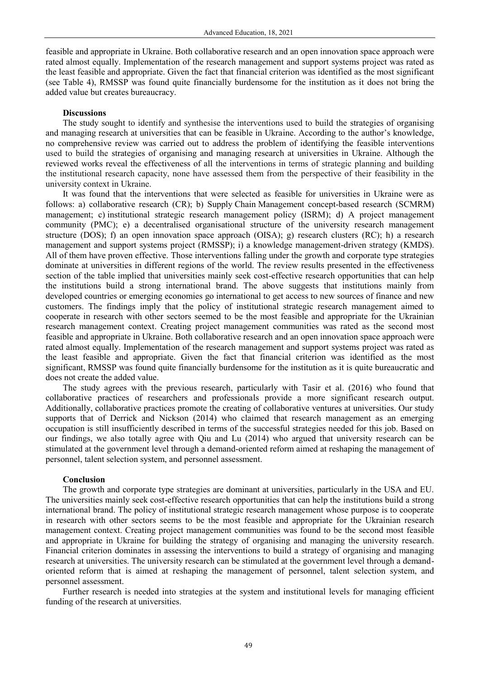feasible and appropriate in Ukraine. Both collaborative research and an open innovation space approach were rated almost equally. Implementation of the research management and support systems project was rated as the least feasible and appropriate. Given the fact that financial criterion was identified as the most significant (see Table 4), RMSSP was found quite financially burdensome for the institution as it does not bring the added value but creates bureaucracy.

## **Discussions**

The study sought to identify and synthesise the interventions used to build the strategies of organising and managing research at universities that can be feasible in Ukraine. According to the author's knowledge, no comprehensive review was carried out to address the problem of identifying the feasible interventions used to build the strategies of organising and managing research at universities in Ukraine. Although the reviewed works reveal the effectiveness of all the interventions in terms of strategic planning and building the institutional research capacity, none have assessed them from the perspective of their feasibility in the university context in Ukraine.

It was found that the interventions that were selected as feasible for universities in Ukraine were as follows: a) collaborative research (CR); b) Supply Chain Management concept-based research (SCMRM) management; c) institutional strategic research management policy (ISRM); d) A project management community (PMC); e) a decentralised organisational structure of the university research management structure (DOS); f) an open innovation space approach (OISA); g) research clusters (RC); h) a research management and support systems project (RMSSP); i) a knowledge management-driven strategy (KMDS). All of them have proven effective. Those interventions falling under the growth and corporate type strategies dominate at universities in different regions of the world. The review results presented in the effectiveness section of the table implied that universities mainly seek cost-effective research opportunities that can help the institutions build a strong international brand. The above suggests that institutions mainly from developed countries or emerging economies go international to get access to new sources of finance and new customers. The findings imply that the policy of institutional strategic research management aimed to cooperate in research with other sectors seemed to be the most feasible and appropriate for the Ukrainian research management context. Creating project management communities was rated as the second most feasible and appropriate in Ukraine. Both collaborative research and an open innovation space approach were rated almost equally. Implementation of the research management and support systems project was rated as the least feasible and appropriate. Given the fact that financial criterion was identified as the most significant, RMSSP was found quite financially burdensome for the institution as it is quite bureaucratic and does not create the added value.

The study agrees with the previous research, particularly with Tasir et al. (2016) who found that collaborative practices of researchers and professionals provide a more significant research output. Additionally, collaborative practices promote the creating of collaborative ventures at universities. Our study supports that of Derrick and Nickson (2014) who claimed that research management as an emerging occupation is still insufficiently described in terms of the successful strategies needed for this job. Based on our findings, we also totally agree with Qiu and Lu (2014) who argued that university research can be stimulated at the government level through a demand-oriented reform aimed at reshaping the management of personnel, talent selection system, and personnel assessment.

# **Conclusion**

The growth and corporate type strategies are dominant at universities, particularly in the USA and EU. The universities mainly seek cost-effective research opportunities that can help the institutions build a strong international brand. The policy of institutional strategic research management whose purpose is to cooperate in research with other sectors seems to be the most feasible and appropriate for the Ukrainian research management context. Creating project management communities was found to be the second most feasible and appropriate in Ukraine for building the strategy of organising and managing the university research. Financial criterion dominates in assessing the interventions to build a strategy of organising and managing research at universities. The university research can be stimulated at the government level through a demandoriented reform that is aimed at reshaping the management of personnel, talent selection system, and personnel assessment.

Further research is needed into strategies at the system and institutional levels for managing efficient funding of the research at universities.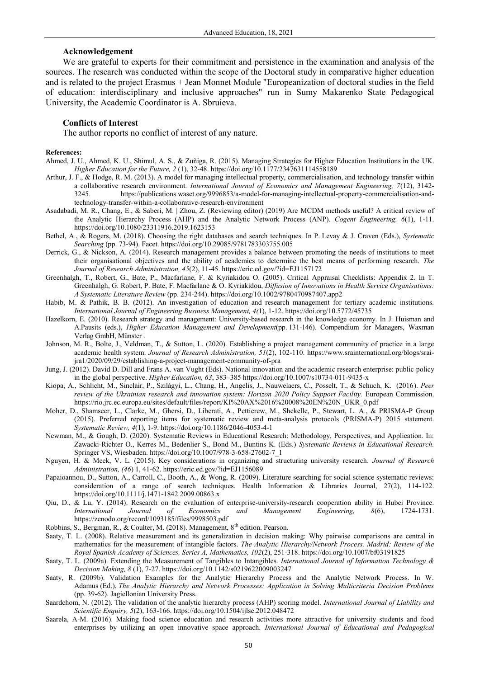## **Acknowledgement**

We are grateful to experts for their commitment and persistence in the examination and analysis of the sources. The research was conducted within the scope of the Doctoral study in comparative higher education and is related to the project Erasmus + Jean Monnet Module "Europeanization of doctoral studies in the field of education: interdisciplinary and inclusive approaches" run in Sumy Makarenko State Pedagogical University, the Academic Coordinator is A. Sbruieva.

## **Conflicts of Interest**

The author reports no conflict of interest of any nature.

## **References:**

- Ahmed, J. U., Ahmed, K. U., Shimul, A. S., & Zuñiga, R. (2015). Managing Strategies for Higher Education Institutions in the UK. *Higher Education for the Future, 2* (1), 32-48. https://doi.org/10.1177/2347631114558189
- Arthur, J. F., & Hodge, R. M. (2013). A model for managing intellectual property, commercialisation, and technology transfer within a collaborative research environment. *International Journal of Economics and Management Engineering, 7*(12), 3142- 3245. https://publications.waset.org/9996853/a-model-for-managing-intellectual-property-commercialisation-andtechnology-transfer-within-a-collaborative-research-environment
- Asadabadi, M. R., Chang, E., & Saberi, M. | Zhou, Z. (Reviewing editor) (2019) Are MCDM methods useful? A critical review of the Analytic Hierarchy Process (AHP) and the Analytic Network Process (ANP). *Cogent Engineering, 6*(1), 1-11. https://doi.org/10.1080/23311916.2019.1623153
- Bethel, A., & Rogers, M. (2018). Choosing the right databases and search techniques. In P. Levay & J. Craven (Eds.), *Systematic Searching* (pp. 73-94). Facet. https://doi.org/10.29085/9781783303755.005
- Derrick, G., & Nickson, A. (2014). Research management provides a balance between promoting the needs of institutions to meet their organisational objectives and the ability of academics to determine the best means of performing research. *The Journal of Research Administration, 45*(2), 11-45. https://eric.ed.gov/?id=EJ1157172
- Greenhalgh, T., Robert, G., Bate, P., Macfarlane, F. & Kyriakidou O. (2005). Critical Appraisal Checklists: Appendix 2. In T. Greenhalgh, G. Robert, P. Bate, F. Macfarlane & O. Kyriakidou, *Diffusion of Innovations in Health Service Organisations: A Systematic Literature Review* (pp. 234-244)[. https://doi.org/10.1002/9780470987407.app2](https://doi.org/10.1002/9780470987407.app2)
- Habib, M. & Pathik, B. B. (2012). An investigation of education and research management for tertiary academic institutions. *International Journal of Engineering Business Management, 4(*1), 1-12. https://doi.org/10.5772/45735
- Hazelkorn, E. (2010). Research strategy and management: University-based research in the knowledge economy. In J. Huisman and A.Pausits (eds.), *Higher Education Management and Development*(pp. 131-146)*.* Compendium for Managers, Waxman Verlag GmbH, Münster .
- Johnson, M. R., Bolte, J., Veldman, T., & Sutton, L. (2020). Establishing a project management community of practice in a large academic health system. *Journal of Research Administration, 51*(2), 102-110. https://www.srainternational.org/blogs/sraijra1/2020/09/29/establishing-a-project-management-community-of-pra
- Jung, J. (2012). David D. Dill and Frans A. van Vught (Eds). National innovation and the academic research enterprise: public policy in the global perspective. *Higher Education, 63*, 383–385 https://doi.org/10.1007/s10734-011-9435-x
- Kiopa, A., Schlicht, M., Sinclair, P., Szilágyi, L., Chang, H., Angelis, J., Nauwelaers, C., Posselt, T., & Schuch, K. (2016). *Peer review of the Ukrainian research and innovation system: Horizon 2020 Policy Support Facility.* European Commission. https://rio.jrc.ec.europa.eu/sites/default/files/report/KI%20AX%2016%20008%20EN%20N\_UKR\_0.pdf
- Moher, D., Shamseer, L., Clarke, M., Ghersi, D., Liberati, A., Petticrew, M., Shekelle, P., Stewart, L. A., & PRISMA-P Group (2015). Preferred reporting items for systematic review and meta-analysis protocols (PRISMA-P) 2015 statement. *Systematic Review, 4*(1), 1-9. https://doi.org/10.1186/2046-4053-4-1
- Newman, M., & Gough, D. (2020). Systematic Reviews in Educational Research: Methodology, Perspectives, and Application. In: Zawacki-Richter O., Kerres M., Bedenlier S., Bond M., Buntins K. (Eds.) *Systematic Reviews in Educational Research.* Springer VS, Wiesbaden. https://doi.org/10.1007/978-3-658-27602-7\_1
- Nguyen, H. & Meek, V. L. (2015). Key considerations in organizing and structuring university research. *Journal of Research Administration, (46*) 1, 41-62. https://eric.ed.gov/?id=EJ1156089
- Papaioannou, D., Sutton, A., Carroll, C., Booth, A., & Wong, R. (2009). Literature searching for social science systematic reviews: consideration of a range of search techniques. Health Information & Libraries Journal, 27(2), 114-122. https://doi.org/10.1111/j.1471-1842.2009.00863.x
- Qiu, D., & Lu, Y. (2014). Research on the evaluation of enterprise-university-research cooperation ability in Hubei Province. *International Journal of Economics and Management Engineering, 8*(6), 1724-1731. <https://zenodo.org/record/1093185/files/9998503.pdf>
- Robbins, S., Bergman, R., & Coulter, M. (2018). Management, 8<sup>th</sup> edition. Pearson.
- Saaty, T. L. (2008). Relative measurement and its generalization in decision making: Why pairwise comparisons are central in mathematics for the measurement of intangible factors. *The Analytic Hierarchy/Network Process. Madrid: Review of the Royal Spanish Academy of Sciences, Series A, Mathematics, 102*(2), 251-318. https://doi.org/10.1007/bf03191825
- Saaty, T. L. (2009a). Extending the Measurement of Tangibles to Intangibles. *International Journal of Information Technology & Decision Making, 8* (1), 7-27.<https://doi.org/10.1142/s0219622009003247>
- Saaty, R. (2009b). Validation Examples for the Analytic Hierarchy Process and the Analytic Network Process. In W. Adamus (Ed.), *The Analytic Hierarchy and Network Processes: Application in Solving Multicriteria Decision Problems* (pp. 39-62). Jagiellonian University Press.
- Saardchom, N. (2012). The validation of the analytic hierarchy process (AHP) scoring model. *International Journal of Liability and Scientific Enquiry, 5*(2), 163-166. https://doi.org/10.1504/ijlse.2012.048472
- Saarela, A-M. (2016). Making food science education and research activities more attractive for university students and food enterprises by utilizing an open innovative space approach. *International Journal of Educational and Pedagogical*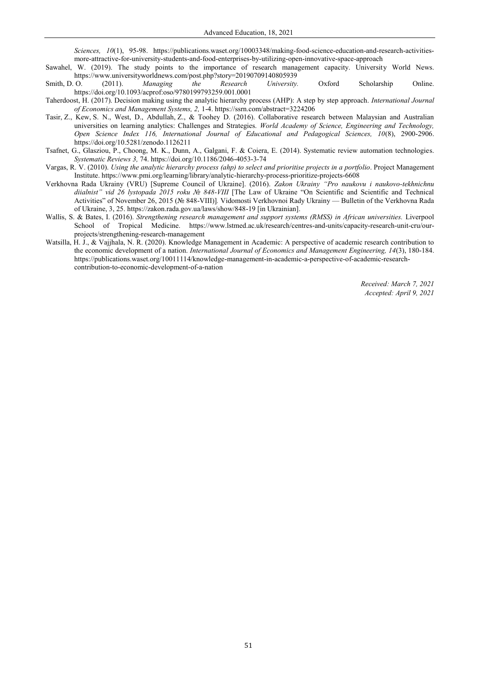*Sciences, 10*(1), 95-98. https://publications.waset.org/10003348/making-food-science-education-and-research-activitiesmore-attractive-for-university-students-and-food-enterprises-by-utilizing-open-innovative-space-approach

- Sawahel, W. (2019). The study points to the importance of research management capacity. University World News. https://www.universityworldnews.com/post.php?story=20190709140805939<br>Smith, D. O. (2011). Managing the Research University.
- Smith, D. O. (2011). *Managing the Research University.* Oxford Scholarship Online. https://doi.org/10.1093/acprof:oso/9780199793259.001.0001
- Taherdoost, H. (2017). Decision making using the analytic hierarchy process (AHP): A step by step approach. *International Journal of Economics and Management Systems, 2,* 1-4[. https://ssrn.com/abstract=3224206](https://ssrn.com/abstract=3224206)
- Tasir, Z., Kew, S. N., West, D., Abdullah, Z., & Toohey D. (2016). Collaborative research between Malaysian and Australian universities on learning analytics: Challenges and Strategies. *World Academy of Science, Engineering and Technology, Open Science Index 116, International Journal of Educational and Pedagogical Sciences, 10*(8), 2900-2906. https://doi.org/10.5281/zenodo.1126211
- Tsafnet, G., Glasziou, P., Choong, M. K., Dunn, A., Galgani, F. & Coiera, E. (2014). Systematic review automation technologies. *Systematic Reviews 3,* 74. https://doi.org/10.1186/2046-4053-3-74
- Vargas, R. V. (2010). *Using the analytic hierarchy process (ahp) to select and prioritise projects in a portfolio*. Project Management Institute. https://www.pmi.org/learning/library/analytic-hierarchy-process-prioritize-projects-6608
- Verkhovnа Radа Ukrainy (VRU) [Supreme Council of Ukraine]. (2016). *Zakon Ukrainy "Pro naukovu i naukovo-tekhnichnu diialnist" vid 26 lystopada 2015 roku № 848-VIII* [The Law of Ukraine "On Scientific and Scientific and Technical Activities" of November 26, 2015 (№ 848-VIII)]*.* Vidomosti Verkhovnoi Rady Ukrainy — Bulletin of the Verkhovna Rada of Ukraine, 3, 25.<https://zakon.rada.gov.ua/laws/show/848-19>[in Ukrainian].
- Wallis, S. & Bates, I. (2016). *Strengthening research management and support systems (RMSS) in African universities.* Liverpool School of Tropical Medicine. https://www.lstmed.ac.uk/research/centres-and-units/capacity-research-unit-cru/ourprojects/strengthening-research-management
- Watsilla, H. J., & Vajjhala, N. R. (2020). Knowledge Management in Academic: A perspective of academic research contribution to the economic development of a nation. *International Journal of Economics and Management Engineering, 14*(3), 180-184. https://publications.waset.org/10011114/knowledge-management-in-academic-a-perspective-of-academic-researchcontribution-to-economic-development-of-a-nation

*Received: March 7, 2021 Accepted: April 9, 2021*